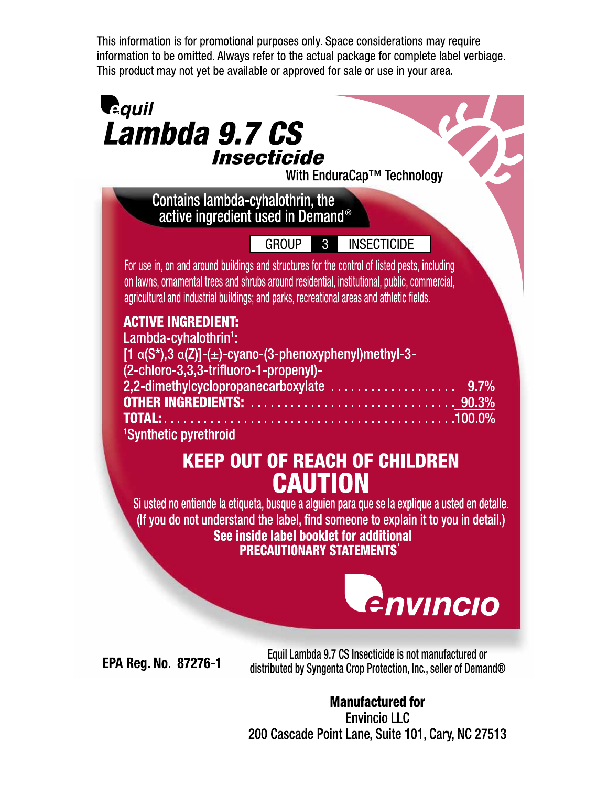This information is for promotional purposes only. Space considerations may require information to be omitted. Always refer to the actual package for complete label verbiage. This product may not yet be available or approved for sale or use in your area.

## **Requil** Lambda 9.7 CS Insecticide With EnduraCap<sup>™</sup> Technology Contains lambda-cyhalothrin, the<br>active ingredient used in Demand® group 3 insecticideFor use in, on and around buildings and structures for the control of listed pests, including on lawns, ornamental trees and shrubs around residential, institutional, public, commercial, agricultural and industrial buildings; and parks, recreational areas and athletic fields. **ACTIVE INGREDIENT:** Lambda-cyhalothrin $\cdot$ :  $[1 \alpha(S^*)$ , 3  $\alpha(Z)$ ]-(±)-cyano-(3-phenoxyphenyl)methyl-3-(2-chloro-3,3,3-trifluoro-1-propenyl)-2,2-dimethylcyclopropanecarboxylate ....................  $9.7%$ **TOTAL: . . . . . .** . . . . . . . . . 100.0% <sup>1</sup>Synthetic pyrethroid

# **KEEP OUT OF REACH OF CHILDREN CAUTION**

Si usted no entiende la etiqueta, busque a alguien para que se la explique a usted en detalle. (If you do not understand the label, find someone to explain it to you in detail.) See inside label booklet for additional **PRECAUTIONARY STATEMENTS'** 



**EPA Reg. No. 87276-1** 

Equil Lambda 9.7 CS Insecticide is not manufactured or distributed by Syngenta Crop Protection, Inc., seller of Demand®

**Manufactured for Envincio LLC** 200 Cascade Point Lane, Suite 101, Cary, NC 27513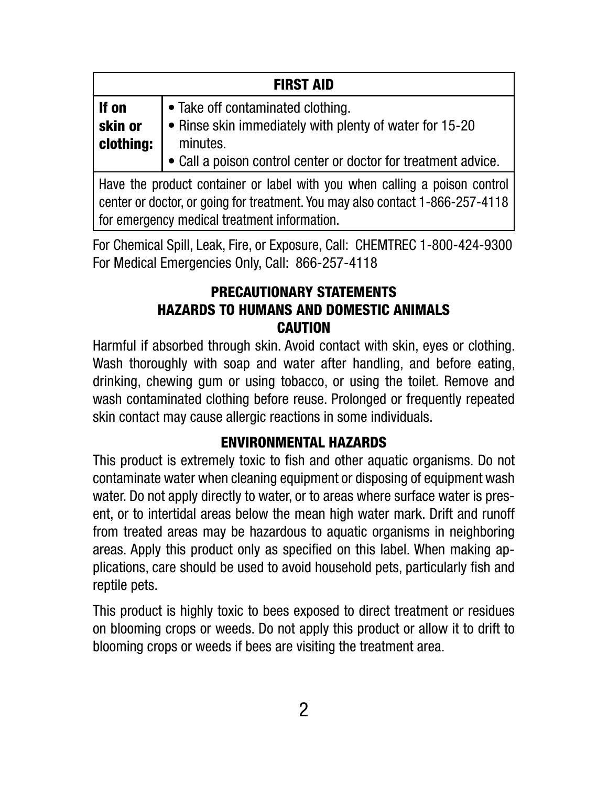| <b>FIRST AID</b>              |                                                                                                                  |  |  |
|-------------------------------|------------------------------------------------------------------------------------------------------------------|--|--|
| If on<br>skin or<br>clothing: | • Take off contaminated clothing.<br>$\bullet$ Rinse skin immediately with plenty of water for 15-20<br>minutes. |  |  |
|                               | • Call a poison control center or doctor for treatment advice.                                                   |  |  |

Have the product container or label with you when calling a poison control center or doctor, or going for treatment. You may also contact 1-866-257-4118 for emergency medical treatment information.

For Chemical Spill, Leak, Fire, or Exposure, Call: CHEMTREC 1-800-424-9300 For Medical Emergencies Only, Call: 866-257-4118

### PRECAUTIONARY STATEMENTS HAZARDS TO HUMANS AND DOMESTIC ANIMALS **CAUTION**

Harmful if absorbed through skin. Avoid contact with skin, eyes or clothing. Wash thoroughly with soap and water after handling, and before eating, drinking, chewing gum or using tobacco, or using the toilet. Remove and wash contaminated clothing before reuse. Prolonged or frequently repeated skin contact may cause allergic reactions in some individuals.

#### ENVIRONMENTAL HAZARDS

This product is extremely toxic to fish and other aquatic organisms. Do not contaminate water when cleaning equipment or disposing of equipment wash water. Do not apply directly to water, or to areas where surface water is present, or to intertidal areas below the mean high water mark. Drift and runoff from treated areas may be hazardous to aquatic organisms in neighboring areas. Apply this product only as specified on this label. When making applications, care should be used to avoid household pets, particularly fish and reptile pets.

This product is highly toxic to bees exposed to direct treatment or residues on blooming crops or weeds. Do not apply this product or allow it to drift to blooming crops or weeds if bees are visiting the treatment area.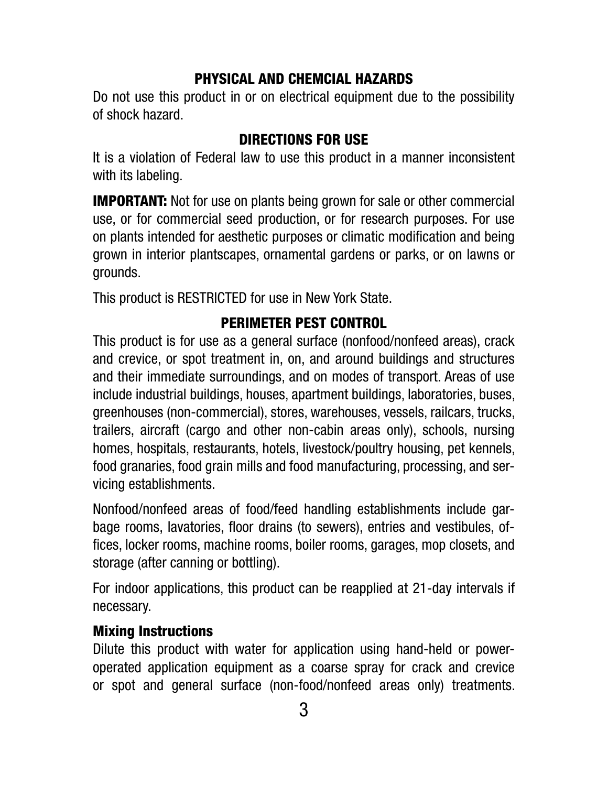#### PHYSICAL AND CHEMCIAL HAZARDS

Do not use this product in or on electrical equipment due to the possibility of shock hazard.

#### DIRECTIONS FOR USE

It is a violation of Federal law to use this product in a manner inconsistent with its labeling.

**IMPORTANT:** Not for use on plants being grown for sale or other commercial use, or for commercial seed production, or for research purposes. For use on plants intended for aesthetic purposes or climatic modification and being grown in interior plantscapes, ornamental gardens or parks, or on lawns or grounds.

This product is RESTRICTED for use in New York State.

### PERIMETER PEST CONTROL

This product is for use as a general surface (nonfood/nonfeed areas), crack and crevice, or spot treatment in, on, and around buildings and structures and their immediate surroundings, and on modes of transport. Areas of use include industrial buildings, houses, apartment buildings, laboratories, buses, greenhouses (non-commercial), stores, warehouses, vessels, railcars, trucks, trailers, aircraft (cargo and other non-cabin areas only), schools, nursing homes, hospitals, restaurants, hotels, livestock/poultry housing, pet kennels, food granaries, food grain mills and food manufacturing, processing, and servicing establishments.

Nonfood/nonfeed areas of food/feed handling establishments include garbage rooms, lavatories, floor drains (to sewers), entries and vestibules, offices, locker rooms, machine rooms, boiler rooms, garages, mop closets, and storage (after canning or bottling).

For indoor applications, this product can be reapplied at 21-day intervals if necessary.

#### Mixing Instructions

Dilute this product with water for application using hand-held or poweroperated application equipment as a coarse spray for crack and crevice or spot and general surface (non-food/nonfeed areas only) treatments.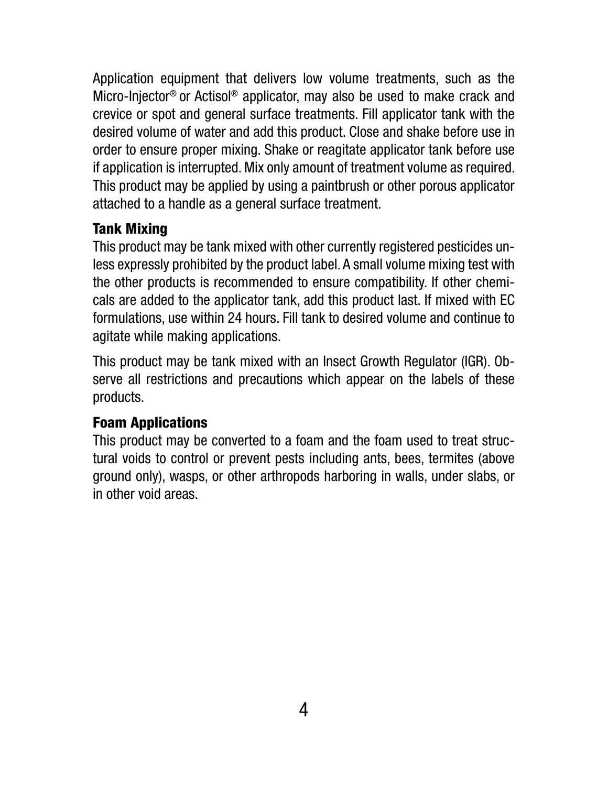Application equipment that delivers low volume treatments, such as the Micro-Injector® or Actisol® applicator, may also be used to make crack and crevice or spot and general surface treatments. Fill applicator tank with the desired volume of water and add this product. Close and shake before use in order to ensure proper mixing. Shake or reagitate applicator tank before use if application is interrupted. Mix only amount of treatment volume as required. This product may be applied by using a paintbrush or other porous applicator attached to a handle as a general surface treatment.

## Tank Mixing

This product may be tank mixed with other currently registered pesticides unless expressly prohibited by the product label. A small volume mixing test with the other products is recommended to ensure compatibility. If other chemicals are added to the applicator tank, add this product last. If mixed with EC formulations, use within 24 hours. Fill tank to desired volume and continue to agitate while making applications.

This product may be tank mixed with an Insect Growth Regulator (IGR). Observe all restrictions and precautions which appear on the labels of these products.

#### Foam Applications

This product may be converted to a foam and the foam used to treat structural voids to control or prevent pests including ants, bees, termites (above ground only), wasps, or other arthropods harboring in walls, under slabs, or in other void areas.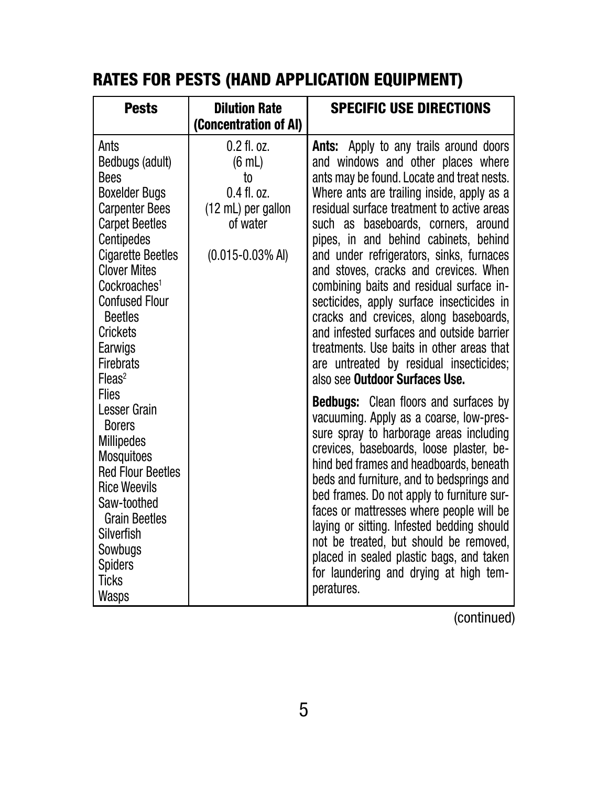# RATES FOR PESTS (HAND APPLICATION EQUIPMENT)

| <b>Pests</b>                                                                                                                                                                                                                                                                                                                               | <b>Dilution Rate</b><br>(Concentration of AI)                                                                          | <b>SPECIFIC USE DIRECTIONS</b>                                                                                                                                                                                                                                                                                                                                                                                                                                                                                                                                                                                                                                                                               |
|--------------------------------------------------------------------------------------------------------------------------------------------------------------------------------------------------------------------------------------------------------------------------------------------------------------------------------------------|------------------------------------------------------------------------------------------------------------------------|--------------------------------------------------------------------------------------------------------------------------------------------------------------------------------------------------------------------------------------------------------------------------------------------------------------------------------------------------------------------------------------------------------------------------------------------------------------------------------------------------------------------------------------------------------------------------------------------------------------------------------------------------------------------------------------------------------------|
| Ants<br>Bedbugs (adult)<br><b>Bees</b><br><b>Boxelder Bugs</b><br><b>Carpenter Bees</b><br><b>Carpet Beetles</b><br><b>Centipedes</b><br><b>Cigarette Beetles</b><br><b>Clover Mites</b><br>Cockroaches <sup>1</sup><br><b>Confused Flour</b><br><b>Beetles</b><br><b>Crickets</b><br>Earwigs<br><b>Firebrats</b><br>$F$ leas <sup>2</sup> | $0.2$ fl. oz.<br>$(6 \text{ mL})$<br>to<br>$0.4$ fl. $0z$ .<br>(12 mL) per gallon<br>of water<br>$(0.015 - 0.03\%$ Al) | <b>Ants:</b> Apply to any trails around doors<br>and windows and other places where<br>ants may be found. Locate and treat nests.<br>Where ants are trailing inside, apply as a<br>residual surface treatment to active areas<br>such as baseboards, corners, around<br>pipes, in and behind cabinets, behind<br>and under refrigerators, sinks, furnaces<br>and stoves, cracks and crevices. When<br>combining baits and residual surface in-<br>secticides, apply surface insecticides in<br>cracks and crevices, along baseboards,<br>and infested surfaces and outside barrier<br>treatments. Use baits in other areas that<br>are untreated by residual insecticides;<br>also see Outdoor Surfaces Use. |
| <b>Flies</b><br>Lesser Grain<br><b>Borers</b><br><b>Millipedes</b><br><b>Mosquitoes</b><br><b>Red Flour Beetles</b><br><b>Rice Weevils</b><br>Saw-toothed<br><b>Grain Beetles</b><br><b>Silverfish</b><br>Sowbugs<br><b>Spiders</b><br><b>Ticks</b><br><b>Wasps</b>                                                                        |                                                                                                                        | <b>Bedbugs:</b> Clean floors and surfaces by<br>vacuuming. Apply as a coarse, low-pres-<br>sure spray to harborage areas including<br>crevices, baseboards, loose plaster, be-<br>hind bed frames and headboards, beneath<br>beds and furniture, and to bedsprings and<br>bed frames. Do not apply to furniture sur-<br>faces or mattresses where people will be<br>laying or sitting. Infested bedding should<br>not be treated, but should be removed,<br>placed in sealed plastic bags, and taken<br>for laundering and drying at high tem-<br>peratures.                                                                                                                                                 |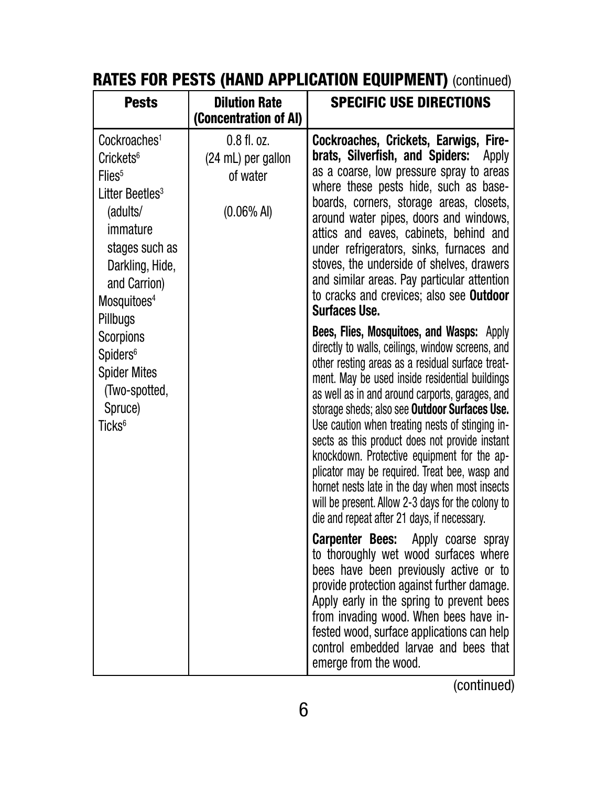| <b>Pests</b>                                                                                                                                                                                                               | <b>Dilution Rate</b><br>(Concentration of AI)                    | <b>SPECIFIC USE DIRECTIONS</b>                                                                                                                                                                                                                                                                                                                                                                                                                                                                                                                                                                                                                                     |
|----------------------------------------------------------------------------------------------------------------------------------------------------------------------------------------------------------------------------|------------------------------------------------------------------|--------------------------------------------------------------------------------------------------------------------------------------------------------------------------------------------------------------------------------------------------------------------------------------------------------------------------------------------------------------------------------------------------------------------------------------------------------------------------------------------------------------------------------------------------------------------------------------------------------------------------------------------------------------------|
| Cockroaches <sup>1</sup><br>Crickets <sup>6</sup><br>Flies <sup>5</sup><br>Litter Beetles <sup>3</sup><br>(adults/<br>immature<br>stages such as<br>Darkling, Hide,<br>and Carrion)<br>Mosquitoes <sup>4</sup><br>Pillbugs | $0.8$ fl. oz.<br>(24 mL) per gallon<br>of water<br>$(0.06\%$ Al) | Cockroaches, Crickets, Earwigs, Fire-<br>brats, Silverfish, and Spiders:<br>Apply<br>as a coarse, low pressure spray to areas<br>where these pests hide, such as base-<br>boards, corners, storage areas, closets,<br>around water pipes, doors and windows,<br>attics and eaves, cabinets, behind and<br>under refrigerators, sinks, furnaces and<br>stoves, the underside of shelves, drawers<br>and similar areas. Pay particular attention<br>to cracks and crevices; also see <b>Outdoor</b><br><b>Surfaces Use.</b>                                                                                                                                          |
| <b>Scorpions</b><br>Spiders <sup>6</sup><br><b>Spider Mites</b><br>(Two-spotted,<br>Spruce)<br>Ticks <sup>6</sup>                                                                                                          |                                                                  | Bees, Flies, Mosquitoes, and Wasps: Apply<br>directly to walls, ceilings, window screens, and<br>other resting areas as a residual surface treat-<br>ment. May be used inside residential buildings<br>as well as in and around carports, garages, and<br>storage sheds; also see Outdoor Surfaces Use.<br>Use caution when treating nests of stinging in-<br>sects as this product does not provide instant<br>knockdown. Protective equipment for the ap-<br>plicator may be required. Treat bee, wasp and<br>hornet nests late in the day when most insects<br>will be present. Allow 2-3 days for the colony to<br>die and repeat after 21 days, if necessary. |
|                                                                                                                                                                                                                            |                                                                  | <b>Carpenter Bees:</b> Apply coarse spray<br>to thoroughly wet wood surfaces where<br>bees have been previously active or to<br>provide protection against further damage.<br>Apply early in the spring to prevent bees<br>from invading wood. When bees have in-<br>fested wood, surface applications can help<br>control embedded larvae and bees that<br>emerge from the wood.                                                                                                                                                                                                                                                                                  |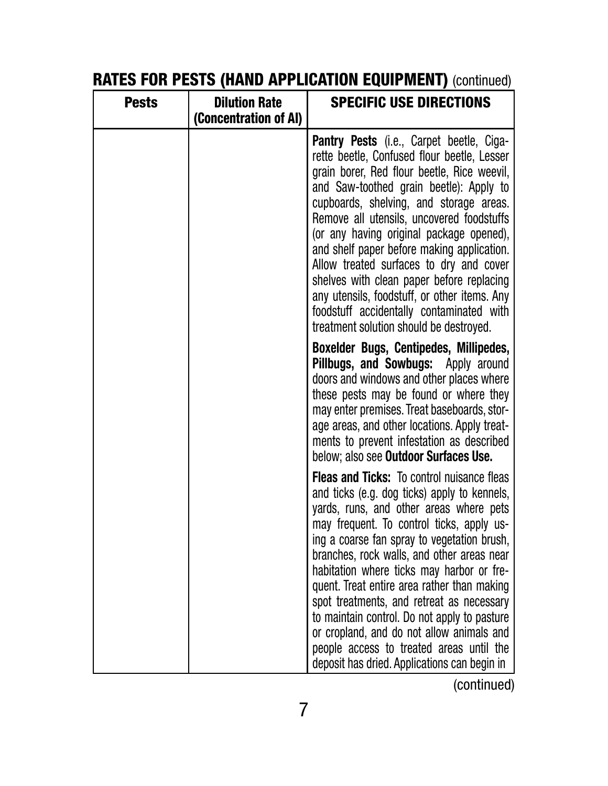| <b>Pests</b> | <b>Dilution Rate</b><br>(Concentration of AI) | <b>SPECIFIC USE DIRECTIONS</b>                                                                                                                                                                                                                                                                                                                                                                                                                                                                                                                                                                                           |
|--------------|-----------------------------------------------|--------------------------------------------------------------------------------------------------------------------------------------------------------------------------------------------------------------------------------------------------------------------------------------------------------------------------------------------------------------------------------------------------------------------------------------------------------------------------------------------------------------------------------------------------------------------------------------------------------------------------|
|              |                                               | <b>Pantry Pests</b> (i.e., Carpet beetle, Ciga-<br>rette beetle, Confused flour beetle, Lesser<br>grain borer, Red flour beetle, Rice weevil,<br>and Saw-toothed grain beetle): Apply to<br>cupboards, shelving, and storage areas.<br>Remove all utensils, uncovered foodstuffs<br>(or any having original package opened),<br>and shelf paper before making application.<br>Allow treated surfaces to dry and cover<br>shelves with clean paper before replacing<br>any utensils, foodstuff, or other items. Any<br>foodstuff accidentally contaminated with<br>treatment solution should be destroyed.                |
|              |                                               | Boxelder Bugs, Centipedes, Millipedes,<br>Pillbugs, and Sowbugs: Apply around<br>doors and windows and other places where<br>these pests may be found or where they<br>may enter premises. Treat baseboards, stor-<br>age areas, and other locations. Apply treat-<br>ments to prevent infestation as described<br>below; also see Outdoor Surfaces Use.                                                                                                                                                                                                                                                                 |
|              |                                               | <b>Fleas and Ticks:</b> To control nuisance fleas<br>and ticks (e.g. dog ticks) apply to kennels,<br>yards, runs, and other areas where pets<br>may frequent. To control ticks, apply us-<br>ing a coarse fan spray to vegetation brush,<br>branches, rock walls, and other areas near<br>habitation where ticks may harbor or fre-<br>quent. Treat entire area rather than making<br>spot treatments, and retreat as necessary<br>to maintain control. Do not apply to pasture<br>or cropland, and do not allow animals and<br>people access to treated areas until the<br>deposit has dried. Applications can begin in |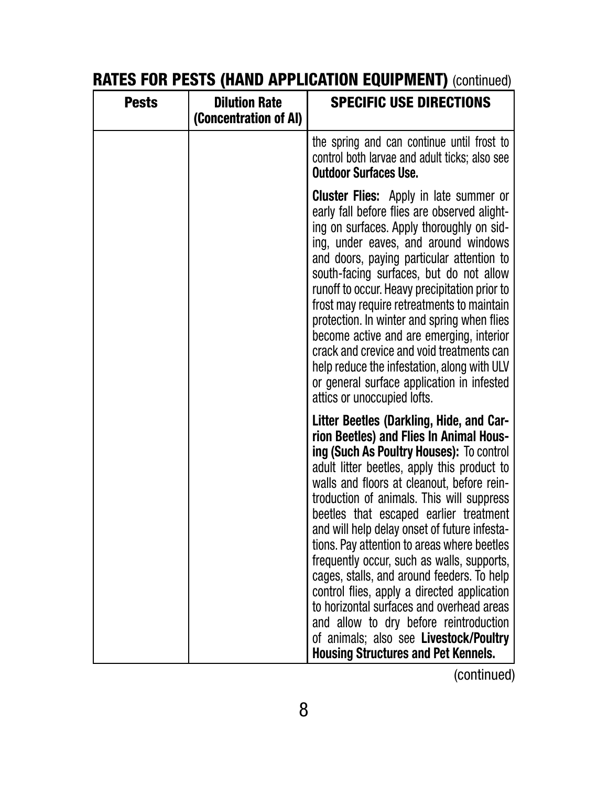| <b>Pests</b> | <b>Dilution Rate</b><br>(Concentration of AI) | <b>SPECIFIC USE DIRECTIONS</b>                                                                                                                                                                                                                                                                                                                                                                                                                                                                                                                                                                                                                                                                                                               |
|--------------|-----------------------------------------------|----------------------------------------------------------------------------------------------------------------------------------------------------------------------------------------------------------------------------------------------------------------------------------------------------------------------------------------------------------------------------------------------------------------------------------------------------------------------------------------------------------------------------------------------------------------------------------------------------------------------------------------------------------------------------------------------------------------------------------------------|
|              |                                               | the spring and can continue until frost to<br>control both larvae and adult ticks; also see<br><b>Outdoor Surfaces Use.</b>                                                                                                                                                                                                                                                                                                                                                                                                                                                                                                                                                                                                                  |
|              |                                               | <b>Cluster Flies:</b> Apply in late summer or<br>early fall before flies are observed alight-<br>ing on surfaces. Apply thoroughly on sid-<br>ing, under eaves, and around windows<br>and doors, paying particular attention to<br>south-facing surfaces, but do not allow<br>runoff to occur. Heavy precipitation prior to<br>frost may require retreatments to maintain<br>protection. In winter and spring when flies<br>become active and are emerging, interior<br>crack and crevice and void treatments can<br>help reduce the infestation, along with ULV<br>or general surface application in infested<br>attics or unoccupied lofts.                                                                                                |
|              |                                               | Litter Beetles (Darkling, Hide, and Car-<br>rion Beetles) and Flies In Animal Hous-<br>ing (Such As Poultry Houses): To control<br>adult litter beetles, apply this product to<br>walls and floors at cleanout, before rein-<br>troduction of animals. This will suppress<br>beetles that escaped earlier treatment<br>and will help delay onset of future infesta-<br>tions. Pay attention to areas where beetles<br>frequently occur, such as walls, supports,<br>cages, stalls, and around feeders. To help<br>control flies, apply a directed application<br>to horizontal surfaces and overhead areas<br>and allow to dry before reintroduction<br>of animals; also see Livestock/Poultry<br><b>Housing Structures and Pet Kennels.</b> |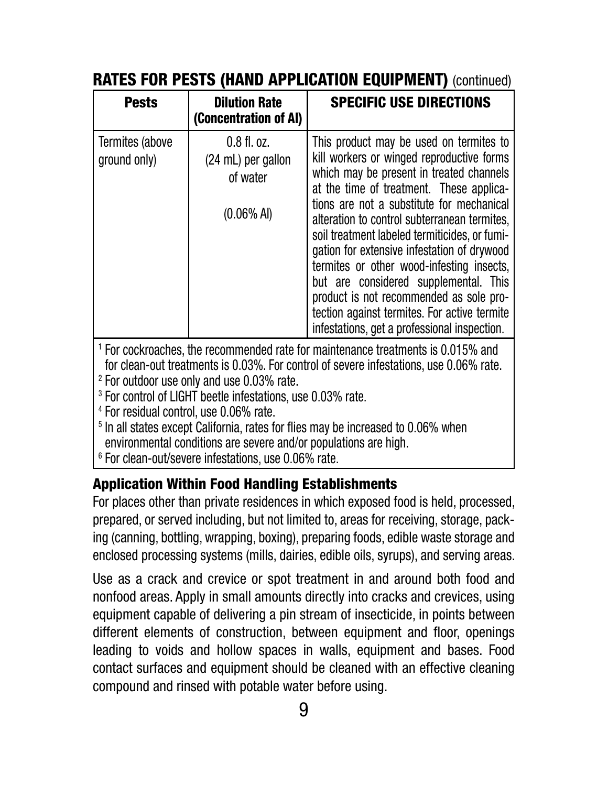| <b>Pests</b>                                       | <b>Dilution Rate</b><br>(Concentration of AI)                                                                                                                                                                                                                          | <b>SPECIFIC USE DIRECTIONS</b>                                                                                                                                                                                                                                                                                                                                                                                                                                                                                                                                                                             |
|----------------------------------------------------|------------------------------------------------------------------------------------------------------------------------------------------------------------------------------------------------------------------------------------------------------------------------|------------------------------------------------------------------------------------------------------------------------------------------------------------------------------------------------------------------------------------------------------------------------------------------------------------------------------------------------------------------------------------------------------------------------------------------------------------------------------------------------------------------------------------------------------------------------------------------------------------|
| Termites (above<br>ground only)                    | $0.8$ fl. oz.<br>(24 mL) per gallon<br>of water<br>$(0.06\%$ AI)                                                                                                                                                                                                       | This product may be used on termites to<br>kill workers or winged reproductive forms<br>which may be present in treated channels<br>at the time of treatment. These applica-<br>tions are not a substitute for mechanical<br>alteration to control subterranean termites,<br>soil treatment labeled termiticides, or fumi-<br>gation for extensive infestation of drywood<br>termites or other wood-infesting insects,<br>but are considered supplemental. This<br>product is not recommended as sole pro-<br>tection against termites. For active termite<br>infestations, get a professional inspection. |
| <sup>4</sup> For residual control, use 0.06% rate. | <sup>2</sup> For outdoor use only and use 0.03% rate.<br><sup>3</sup> For control of LIGHT beetle infestations, use 0.03% rate.<br>environmental conditions are severe and/or populations are high.<br><sup>6</sup> For clean-out/severe infestations, use 0.06% rate. | <sup>1</sup> For cockroaches, the recommended rate for maintenance treatments is 0.015% and<br>for clean-out treatments is 0.03%. For control of severe infestations, use 0.06% rate.<br><sup>5</sup> In all states except California, rates for flies may be increased to 0.06% when                                                                                                                                                                                                                                                                                                                      |

#### Application Within Food Handling Establishments

For places other than private residences in which exposed food is held, processed, prepared, or served including, but not limited to, areas for receiving, storage, packing (canning, bottling, wrapping, boxing), preparing foods, edible waste storage and enclosed processing systems (mills, dairies, edible oils, syrups), and serving areas.

Use as a crack and crevice or spot treatment in and around both food and nonfood areas. Apply in small amounts directly into cracks and crevices, using equipment capable of delivering a pin stream of insecticide, in points between different elements of construction, between equipment and floor, openings leading to voids and hollow spaces in walls, equipment and bases. Food contact surfaces and equipment should be cleaned with an effective cleaning compound and rinsed with potable water before using.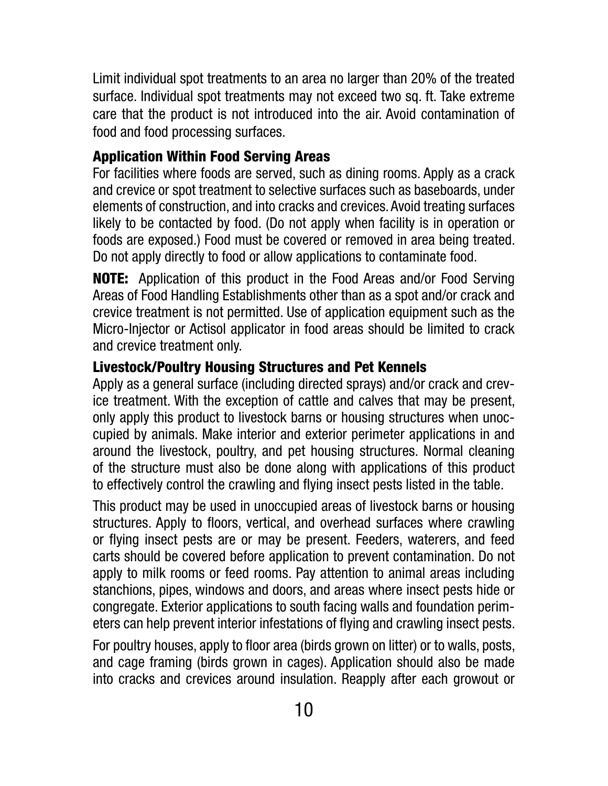Limit individual spot treatments to an area no larger than 20% of the treated surface. Individual spot treatments may not exceed two sq. ft. Take extreme care that the product is not introduced into the air. Avoid contamination of food and food processing surfaces.

## Application Within Food Serving Areas

For facilities where foods are served, such as dining rooms. Apply as a crack and crevice or spot treatment to selective surfaces such as baseboards, under elements of construction, and into cracks and crevices. Avoid treating surfaces likely to be contacted by food. (Do not apply when facility is in operation or foods are exposed.) Food must be covered or removed in area being treated. Do not apply directly to food or allow applications to contaminate food.

NOTE: Application of this product in the Food Areas and/or Food Serving Areas of Food Handling Establishments other than as a spot and/or crack and crevice treatment is not permitted. Use of application equipment such as the Micro-Injector or Actisol applicator in food areas should be limited to crack and crevice treatment only.

## Livestock/Poultry Housing Structures and Pet Kennels

Apply as a general surface (including directed sprays) and/or crack and crevice treatment. With the exception of cattle and calves that may be present, only apply this product to livestock barns or housing structures when unoccupied by animals. Make interior and exterior perimeter applications in and around the livestock, poultry, and pet housing structures. Normal cleaning of the structure must also be done along with applications of this product to effectively control the crawling and flying insect pests listed in the table.

This product may be used in unoccupied areas of livestock barns or housing structures. Apply to floors, vertical, and overhead surfaces where crawling or flying insect pests are or may be present. Feeders, waterers, and feed carts should be covered before application to prevent contamination. Do not apply to milk rooms or feed rooms. Pay attention to animal areas including stanchions, pipes, windows and doors, and areas where insect pests hide or congregate. Exterior applications to south facing walls and foundation perimeters can help prevent interior infestations of flying and crawling insect pests.

For poultry houses, apply to floor area (birds grown on litter) or to walls, posts, and cage framing (birds grown in cages). Application should also be made into cracks and crevices around insulation. Reapply after each growout or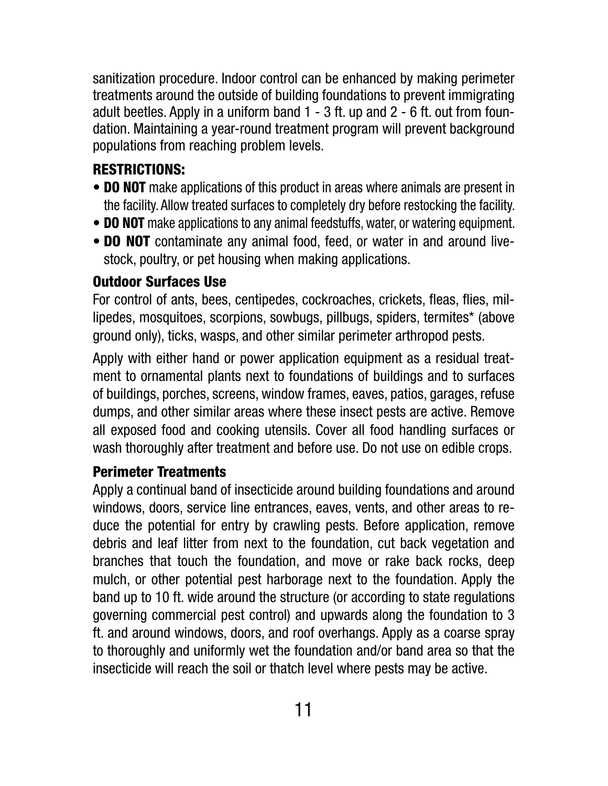sanitization procedure. Indoor control can be enhanced by making perimeter treatments around the outside of building foundations to prevent immigrating adult beetles. Apply in a uniform band 1 - 3 ft. up and 2 - 6 ft. out from foundation. Maintaining a year-round treatment program will prevent background populations from reaching problem levels.

## RESTRICTIONS:

- **DO NOT** make applications of this product in areas where animals are present in the facility. Allow treated surfaces to completely dry before restocking the facility.
- **DO NOT** make applications to any animal feedstuffs, water, or watering equipment.
- **DO NOT** contaminate any animal food, feed, or water in and around livestock, poultry, or pet housing when making applications.

## Outdoor Surfaces Use

For control of ants, bees, centipedes, cockroaches, crickets, fleas, flies, millipedes, mosquitoes, scorpions, sowbugs, pillbugs, spiders, termites\* (above ground only), ticks, wasps, and other similar perimeter arthropod pests.

Apply with either hand or power application equipment as a residual treatment to ornamental plants next to foundations of buildings and to surfaces of buildings, porches, screens, window frames, eaves, patios, garages, refuse dumps, and other similar areas where these insect pests are active. Remove all exposed food and cooking utensils. Cover all food handling surfaces or wash thoroughly after treatment and before use. Do not use on edible crops.

## Perimeter Treatments

Apply a continual band of insecticide around building foundations and around windows, doors, service line entrances, eaves, vents, and other areas to reduce the potential for entry by crawling pests. Before application, remove debris and leaf litter from next to the foundation, cut back vegetation and branches that touch the foundation, and move or rake back rocks, deep mulch, or other potential pest harborage next to the foundation. Apply the band up to 10 ft. wide around the structure (or according to state regulations governing commercial pest control) and upwards along the foundation to 3 ft. and around windows, doors, and roof overhangs. Apply as a coarse spray to thoroughly and uniformly wet the foundation and/or band area so that the insecticide will reach the soil or thatch level where pests may be active.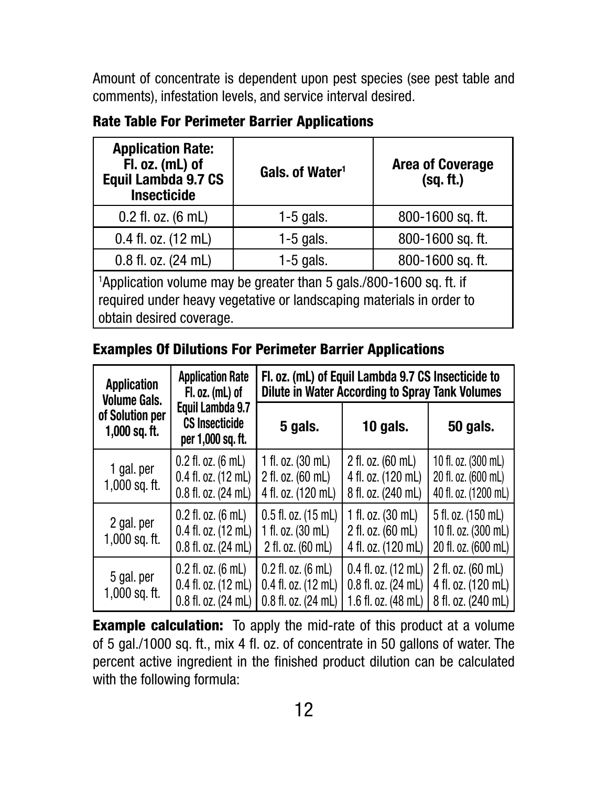Amount of concentrate is dependent upon pest species (see pest table and comments), infestation levels, and service interval desired.

Rate Table For Perimeter Barrier Applications

| <b>Application Rate:</b><br>Fl. oz. (mL) of<br>Equil Lambda 9.7 CS<br><b>Insecticide</b> | Gals. of Water <sup>1</sup> | <b>Area of Coverage</b><br>(sq. ft.) |  |
|------------------------------------------------------------------------------------------|-----------------------------|--------------------------------------|--|
| $0.2$ fl. oz. $(6 \text{ mL})$                                                           | $1-5$ gals.                 | 800-1600 sq. ft.                     |  |
| $0.4$ fl. oz. $(12 \text{ mL})$                                                          | $1-5$ gals.                 | 800-1600 sq. ft.                     |  |
| $0.8$ fl. oz. $(24 \text{ mL})$                                                          | $1-5$ gals.                 | 800-1600 sq. ft.                     |  |
| <sup>1</sup> Application volume may be greater than 5 gals./800-1600 sq. ft. if          |                             |                                      |  |

required under heavy vegetative or landscaping materials in order to obtain desired coverage.

### Examples Of Dilutions For Perimeter Barrier Applications

| <b>Application</b><br><b>Volume Gals.</b> | <b>Application Rate</b><br>$F.$ oz. (mL) of                                                          | Fl. oz. (mL) of Equil Lambda 9.7 CS Insecticide to<br>Dilute in Water According to Spray Tank Volumes |                                                                               |                                                                         |  |
|-------------------------------------------|------------------------------------------------------------------------------------------------------|-------------------------------------------------------------------------------------------------------|-------------------------------------------------------------------------------|-------------------------------------------------------------------------|--|
| of Solution per<br>$1,000$ sq. ft.        | Equil Lambda 9.7<br><b>CS Insecticide</b><br>per 1,000 sq. ft.                                       | 5 gals.                                                                                               | 10 gals.                                                                      | <b>50 gals.</b>                                                         |  |
| 1 gal. per<br>$1,000$ sq. ft.             | $0.2$ fl. oz. $(6 \text{ mL})$<br>$0.4$ fl. oz. $(12 \text{ mL})$<br>$0.8$ fl. oz. $(24 \text{ mL})$ | 1 fl. oz. $(30 \text{ mL})$<br>2 fl. oz. (60 mL)<br>4 fl. oz. (120 mL)                                | 2 fl. oz. (60 mL)<br>4 fl. oz. (120 mL)<br>8 fl. oz. (240 mL)                 | 10 fl. oz. (300 mL)<br>20 fl. oz. (600 mL)<br>40 fl. oz. (1200 mL)      |  |
| 2 gal. per<br>$1,000$ sq. ft.             | $0.2$ fl. oz. $(6 \text{ mL})$<br>$0.4$ fl. oz. $(12 \text{ mL})$<br>$0.8$ fl. oz. $(24 \text{ mL})$ | $0.5$ fl. oz. $(15$ mL)<br>1 fl. oz. $(30 \text{ mL})$<br>2 fl. oz. (60 mL)                           | 1 fl. oz. $(30 \text{ mL})$<br>2 fl. oz. (60 mL)<br>4 fl. oz. (120 mL)        | 5 fl. oz. (150 mL)<br>10 fl. oz. (300 mL)<br>20 fl. oz. (600 mL)        |  |
| 5 gal. per<br>$1,000$ sq. ft.             | $0.2$ fl. oz. $(6 \text{ mL})$<br>$0.4$ fl. oz. $(12 \text{ mL})$<br>0.8 fl. oz. (24 mL)             | $0.2$ fl. oz. $(6 \text{ mL})$<br>$0.4$ fl. oz. $(12$ mL)<br>0.8 fl. oz. (24 mL)                      | $0.4$ fl. oz. $(12 \text{ mL})$<br>0.8 fl. oz. (24 mL)<br>1.6 fl. oz. (48 mL) | 2 fl. oz. $(60 \text{ mL})$<br>4 fl. oz. (120 mL)<br>8 fl. oz. (240 mL) |  |

**Example calculation:** To apply the mid-rate of this product at a volume of 5 gal./1000 sq. ft., mix 4 fl. oz. of concentrate in 50 gallons of water. The percent active ingredient in the finished product dilution can be calculated with the following formula: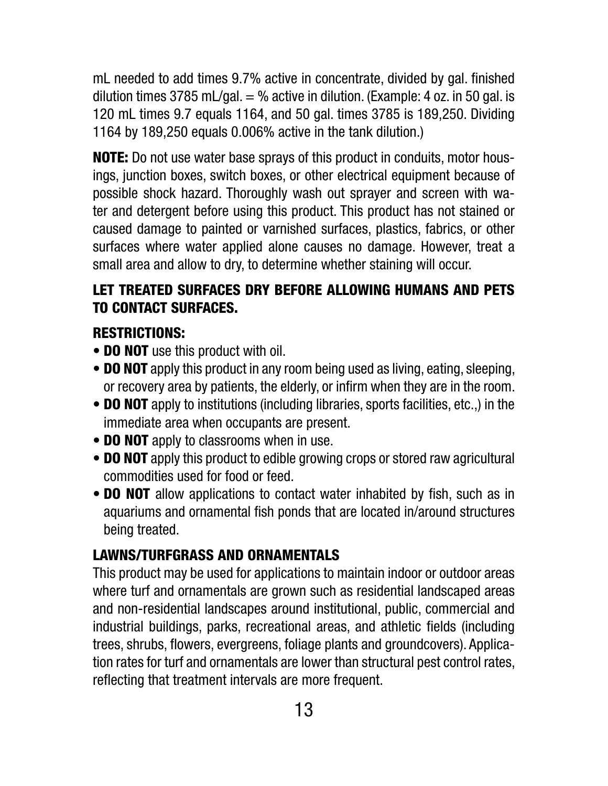mL needed to add times 9.7% active in concentrate, divided by gal. finished dilution times 3785 mL/gal.  $=$  % active in dilution. (Example: 4 oz. in 50 gal. is 120 mL times 9.7 equals 1164, and 50 gal. times 3785 is 189,250. Dividing 1164 by 189,250 equals 0.006% active in the tank dilution.)

NOTE: Do not use water base sprays of this product in conduits, motor housings, junction boxes, switch boxes, or other electrical equipment because of possible shock hazard. Thoroughly wash out sprayer and screen with water and detergent before using this product. This product has not stained or caused damage to painted or varnished surfaces, plastics, fabrics, or other surfaces where water applied alone causes no damage. However, treat a small area and allow to dry, to determine whether staining will occur.

## LET TREATED SURFACES DRY BEFORE ALLOWING HUMANS AND PETS TO CONTACT SURFACES.

## RESTRICTIONS:

- **DO NOT** use this product with oil.
- **DO NOT** apply this product in any room being used as living, eating, sleeping, or recovery area by patients, the elderly, or infirm when they are in the room.
- **DO NOT** apply to institutions (including libraries, sports facilities, etc.,) in the immediate area when occupants are present.
- **DO NOT** apply to classrooms when in use.
- **DO NOT** apply this product to edible growing crops or stored raw agricultural commodities used for food or feed.
- **DO NOT** allow applications to contact water inhabited by fish, such as in aquariums and ornamental fish ponds that are located in/around structures being treated.

## LAWNS/TURFGRASS AND ORNAMENTALS

This product may be used for applications to maintain indoor or outdoor areas where turf and ornamentals are grown such as residential landscaped areas and non-residential landscapes around institutional, public, commercial and industrial buildings, parks, recreational areas, and athletic fields (including trees, shrubs, flowers, evergreens, foliage plants and groundcovers). Application rates for turf and ornamentals are lower than structural pest control rates, reflecting that treatment intervals are more frequent.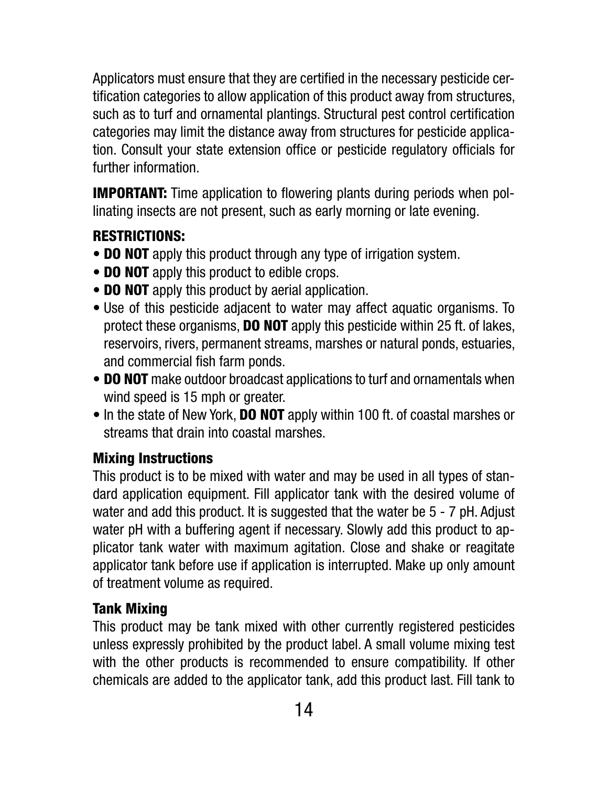Applicators must ensure that they are certified in the necessary pesticide certification categories to allow application of this product away from structures, such as to turf and ornamental plantings. Structural pest control certification categories may limit the distance away from structures for pesticide application. Consult your state extension office or pesticide regulatory officials for further information.

**IMPORTANT:** Time application to flowering plants during periods when pollinating insects are not present, such as early morning or late evening.

## RESTRICTIONS:

- **DO NOT** apply this product through any type of irrigation system.
- **DO NOT** apply this product to edible crops.
- **DO NOT** apply this product by aerial application.
- Use of this pesticide adjacent to water may affect aquatic organisms. To protect these organisms, DO NOT apply this pesticide within 25 ft. of lakes, reservoirs, rivers, permanent streams, marshes or natural ponds, estuaries, and commercial fish farm ponds.
- DO NOT make outdoor broadcast applications to turf and ornamentals when wind speed is 15 mph or greater.
- In the state of New York, **DO NOT** apply within 100 ft. of coastal marshes or streams that drain into coastal marshes.

#### Mixing Instructions

This product is to be mixed with water and may be used in all types of standard application equipment. Fill applicator tank with the desired volume of water and add this product. It is suggested that the water be 5 - 7 pH. Adjust water pH with a buffering agent if necessary. Slowly add this product to applicator tank water with maximum agitation. Close and shake or reagitate applicator tank before use if application is interrupted. Make up only amount of treatment volume as required.

## Tank Mixing

This product may be tank mixed with other currently registered pesticides unless expressly prohibited by the product label. A small volume mixing test with the other products is recommended to ensure compatibility. If other chemicals are added to the applicator tank, add this product last. Fill tank to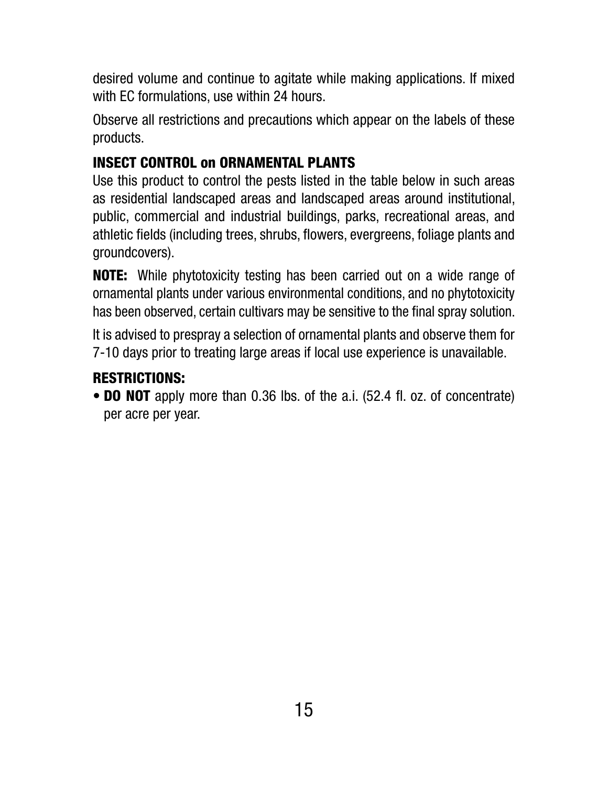desired volume and continue to agitate while making applications. If mixed with EC formulations, use within 24 hours.

Observe all restrictions and precautions which appear on the labels of these products.

## INSECT CONTROL on ORNAMENTAL PLANTS

Use this product to control the pests listed in the table below in such areas as residential landscaped areas and landscaped areas around institutional, public, commercial and industrial buildings, parks, recreational areas, and athletic fields (including trees, shrubs, flowers, evergreens, foliage plants and groundcovers).

**NOTE:** While phytotoxicity testing has been carried out on a wide range of ornamental plants under various environmental conditions, and no phytotoxicity has been observed, certain cultivars may be sensitive to the final spray solution.

It is advised to prespray a selection of ornamental plants and observe them for 7-10 days prior to treating large areas if local use experience is unavailable.

## RESTRICTIONS:

• **DO NOT** apply more than 0.36 lbs. of the a.i. (52.4 fl. oz. of concentrate) per acre per year.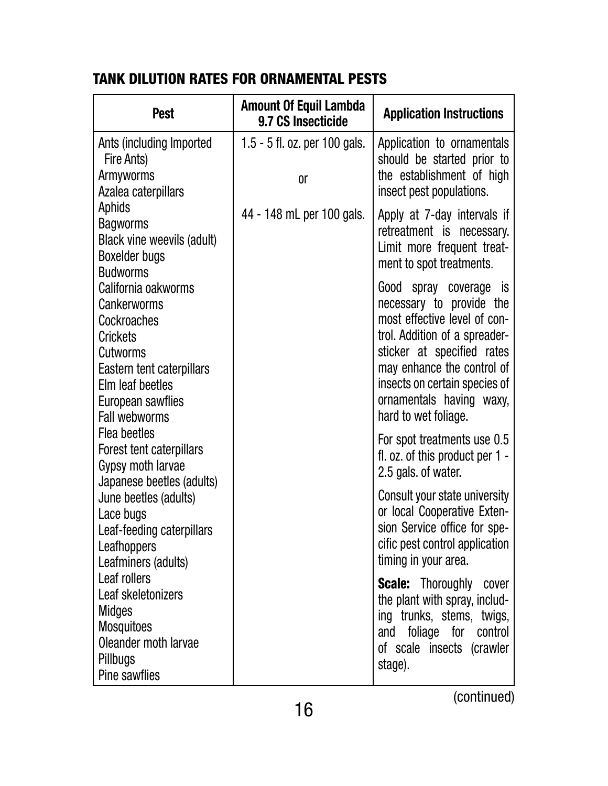## TANK DILUTION RATES FOR ORNAMENTAL PESTS

| <b>Pest</b>                                                                                                                                                             | <b>Amount Of Equil Lambda</b><br>9.7 CS Insecticide | <b>Application Instructions</b>                                                                                                                                                                                                                                      |
|-------------------------------------------------------------------------------------------------------------------------------------------------------------------------|-----------------------------------------------------|----------------------------------------------------------------------------------------------------------------------------------------------------------------------------------------------------------------------------------------------------------------------|
| Ants (including Imported<br>Fire Ants)<br>Armyworms<br>Azalea caterpillars                                                                                              | 1.5 - 5 fl. oz. per 100 gals.<br><sub>0r</sub>      | Application to ornamentals<br>should be started prior to<br>the establishment of high<br>insect pest populations.                                                                                                                                                    |
| Aphids<br><b>Bagworms</b><br>Black vine weevils (adult)<br>Boxelder bugs<br><b>Budworms</b>                                                                             | 44 - 148 mL per 100 gals.                           | Apply at 7-day intervals if<br>retreatment is necessary.<br>Limit more frequent treat-<br>ment to spot treatments.                                                                                                                                                   |
| California oakworms<br>Cankerworms<br>Cockroaches<br>Crickets<br>Cutworms<br>Eastern tent caterpillars<br>Elm leaf beetles<br>European sawflies<br><b>Fall webworms</b> |                                                     | Good spray coverage is<br>necessary to provide the<br>most effective level of con-<br>trol. Addition of a spreader-<br>sticker at specified rates<br>may enhance the control of<br>insects on certain species of<br>ornamentals having waxy,<br>hard to wet foliage. |
| Flea beetles<br>Forest tent caterpillars<br>Gypsy moth larvae<br>Japanese beetles (adults)                                                                              |                                                     | For spot treatments use 0.5<br>fl. oz. of this product per $1 -$<br>2.5 gals. of water.                                                                                                                                                                              |
| June beetles (adults)<br>Lace bugs<br>Leaf-feeding caterpillars<br>Leafhoppers<br>Leafminers (adults)                                                                   |                                                     | Consult your state university<br>or local Cooperative Exten-<br>sion Service office for spe-<br>cific pest control application<br>timing in your area.                                                                                                               |
| Leaf rollers<br>Leaf skeletonizers<br><b>Midges</b><br><b>Mosquitoes</b><br>Oleander moth larvae<br>Pillbugs<br>Pine sawflies                                           |                                                     | <b>Scale:</b> Thoroughly cover<br>the plant with spray, includ-<br>ing trunks, stems, twigs,<br>and foliage for control<br>of scale insects (crawler<br>stage).                                                                                                      |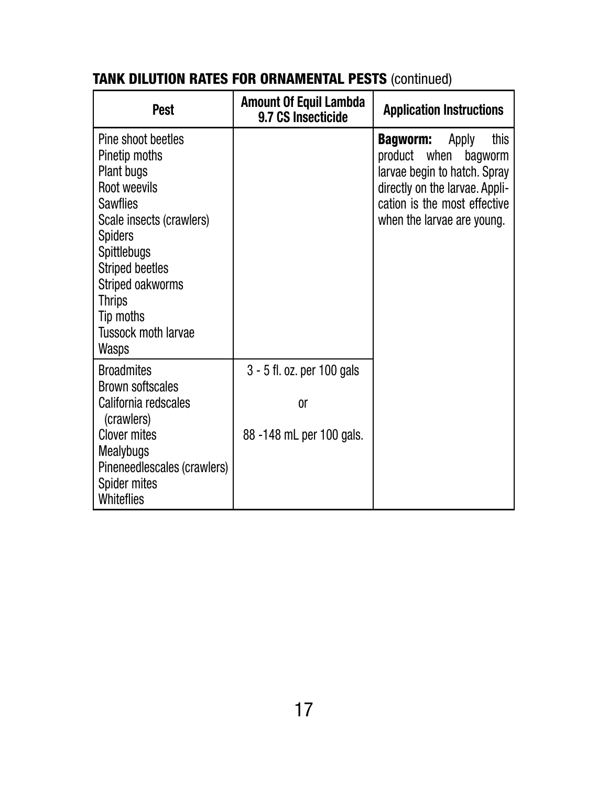| <b>Pest</b>                                                                                                                                                                                                                                                                        | <b>Amount Of Equil Lambda</b><br>9.7 CS Insecticide                     | <b>Application Instructions</b>                                                                                                                                                             |  |
|------------------------------------------------------------------------------------------------------------------------------------------------------------------------------------------------------------------------------------------------------------------------------------|-------------------------------------------------------------------------|---------------------------------------------------------------------------------------------------------------------------------------------------------------------------------------------|--|
| Pine shoot beetles<br>Pinetip moths<br>Plant bugs<br>Root weevils<br><b>Sawflies</b><br>Scale insects (crawlers)<br><b>Spiders</b><br><b>Spittlebugs</b><br><b>Striped beetles</b><br>Striped oakworms<br><b>Thrips</b><br>Tip moths<br><b>Tussock moth larvae</b><br><b>Wasps</b> |                                                                         | Apply<br>this<br><b>Bagworm:</b><br>product when<br>bagworm<br>larvae begin to hatch. Spray<br>directly on the larvae. Appli-<br>cation is the most effective<br>when the larvae are young. |  |
| <b>Broadmites</b><br><b>Brown softscales</b><br>California redscales<br>(crawlers)<br><b>Clover mites</b><br><b>Mealybugs</b><br>Pineneedlescales (crawlers)<br><b>Spider mites</b><br>Whiteflies                                                                                  | 3 - 5 fl. oz. per 100 gals<br><sub>0r</sub><br>88 -148 mL per 100 gals. |                                                                                                                                                                                             |  |

## TANK DILUTION RATES FOR ORNAMENTAL PESTS (continued)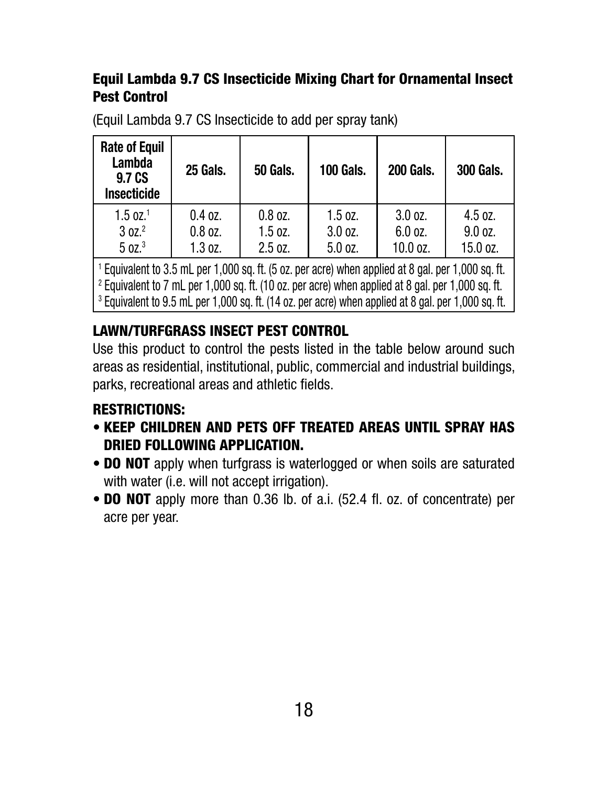### Equil Lambda 9.7 CS Insecticide Mixing Chart for Ornamental Insect Pest Control

| <b>Rate of Equil</b><br><b>Lambda</b><br>9.7 CS<br><b>Insecticide</b> | <b>25 Gals.</b> | <b>50 Gals.</b> | <b>100 Gals.</b> | <b>200 Gals.</b> | <b>300 Gals.</b> |
|-----------------------------------------------------------------------|-----------------|-----------------|------------------|------------------|------------------|
| $1.5 \text{ oz}.^1$                                                   | $0.4$ oz.       | $0.8$ oz.       | $1.5$ oz.        | 3.0 oz.          | 4.5 oz.          |
| 30Z <sup>2</sup>                                                      | $0.8$ oz.       | $1.5$ oz.       | 3.0 oz.          | 6.0 oz.          | 9.0 oz.          |
| 50Z. <sup>3</sup>                                                     | 1.3 oz.         | 2.5 oz.         | 5.0 oz.          | 10.0 oz.         | 15.0 oz.         |

(Equil Lambda 9.7 CS Insecticide to add per spray tank)

<sup>1</sup> Equivalent to 3.5 mL per 1,000 sq. ft. (5 oz. per acre) when applied at 8 gal. per 1,000 sq. ft. <sup>2</sup> Equivalent to 7 mL per 1,000 sq. ft. (10 oz. per acre) when applied at 8 gal. per 1,000 sq. ft. <sup>3</sup> Equivalent to 9.5 mL per 1,000 sq. ft. (14 oz. per acre) when applied at 8 gal. per 1,000 sq. ft.

### LAWN/TURFGRASS INSECT PEST CONTROL

Use this product to control the pests listed in the table below around such areas as residential, institutional, public, commercial and industrial buildings, parks, recreational areas and athletic fields.

## RESTRICTIONS:

- KEEP CHILDREN AND PETS OFF TREATED AREAS UNTIL SPRAY HAS DRIED FOLLOWING APPLICATION.
- **DO NOT** apply when turfgrass is waterlogged or when soils are saturated with water (i.e. will not accept irrigation).
- **DO NOT** apply more than 0.36 lb. of a.i. (52.4 fl. oz. of concentrate) per acre per year.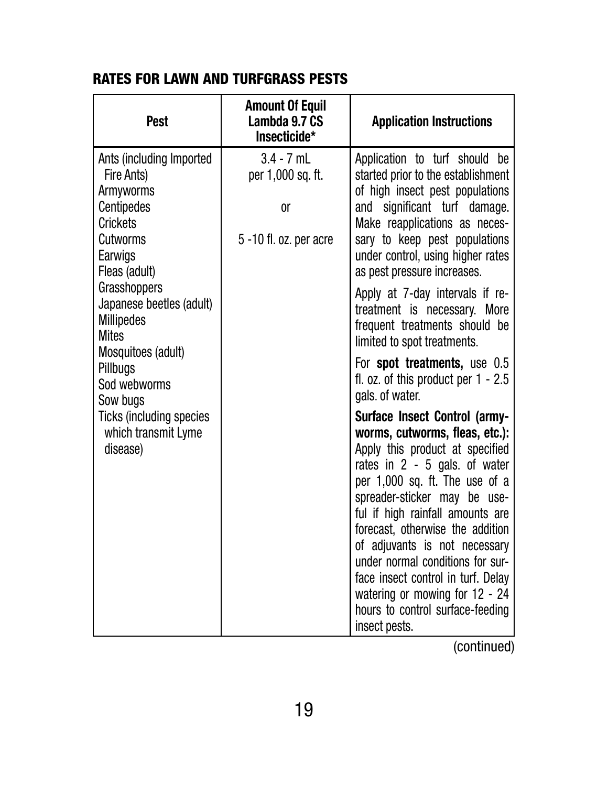#### RATES FOR LAWN AND TURFGRASS PESTS

| <b>Pest</b>                                                                                                                                                                                                                                       | <b>Amount Of Equil</b><br>Lambda 9.7 CS<br>Insecticide*              | <b>Application Instructions</b>                                                                                                                                                                                                                                                                                                                                                                                                                                                        |
|---------------------------------------------------------------------------------------------------------------------------------------------------------------------------------------------------------------------------------------------------|----------------------------------------------------------------------|----------------------------------------------------------------------------------------------------------------------------------------------------------------------------------------------------------------------------------------------------------------------------------------------------------------------------------------------------------------------------------------------------------------------------------------------------------------------------------------|
| Ants (including Imported<br>Fire Ants)<br>Armyworms<br><b>Centipedes</b><br><b>Crickets</b><br>Cutworms<br>Earwigs<br>Fleas (adult)<br><b>Grasshoppers</b><br>Japanese beetles (adult)<br><b>Millipedes</b><br><b>Mites</b><br>Mosquitoes (adult) | $3.4 - 7$ mL<br>per 1,000 sq. ft.<br>0ľ<br>$5 - 10$ fl. oz. per acre | Application to turf should be<br>started prior to the establishment<br>of high insect pest populations<br>and significant turf damage.<br>Make reapplications as neces-<br>sary to keep pest populations<br>under control, using higher rates<br>as pest pressure increases.<br>Apply at 7-day intervals if re-<br>treatment is necessary. More<br>frequent treatments should be<br>limited to spot treatments.                                                                        |
| Pillbugs<br>Sod webworms<br>Sow bugs                                                                                                                                                                                                              |                                                                      | For <b>spot treatments</b> , use 0.5<br>fl. oz. of this product per $1 - 2.5$<br>gals. of water.                                                                                                                                                                                                                                                                                                                                                                                       |
| <b>Ticks (including species</b><br>which transmit Lyme<br>disease)                                                                                                                                                                                |                                                                      | <b>Surface Insect Control (army-</b><br>worms, cutworms, fleas, etc.):<br>Apply this product at specified<br>rates in 2 - 5 gals. of water<br>per 1,000 sq. ft. The use of a<br>spreader-sticker may be use-<br>ful if high rainfall amounts are<br>forecast, otherwise the addition<br>of adjuvants is not necessary<br>under normal conditions for sur-<br>face insect control in turf. Delay<br>watering or mowing for 12 - 24<br>hours to control surface-feeding<br>insect pests. |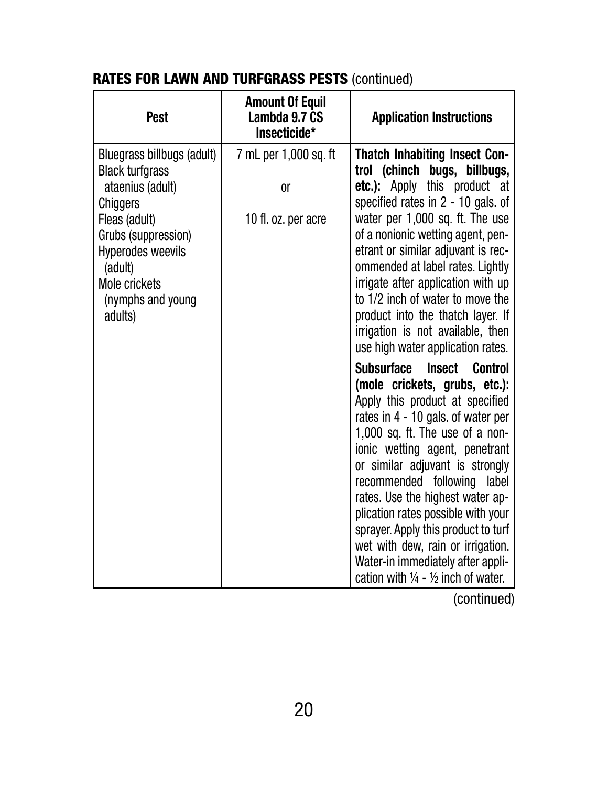| <b>Pest</b>                                                                                                                                                                                                          | <b>Amount Of Equil</b><br>Lambda 9.7 CS<br>Insecticide*       | <b>Application Instructions</b>                                                                                                                                                                                                                                                                                                                                                                                                                                                                                                                                                                   |
|----------------------------------------------------------------------------------------------------------------------------------------------------------------------------------------------------------------------|---------------------------------------------------------------|---------------------------------------------------------------------------------------------------------------------------------------------------------------------------------------------------------------------------------------------------------------------------------------------------------------------------------------------------------------------------------------------------------------------------------------------------------------------------------------------------------------------------------------------------------------------------------------------------|
| Bluegrass billbugs (adult)<br><b>Black turfgrass</b><br>ataenius (adult)<br>Chiggers<br>Fleas (adult)<br>Grubs (suppression)<br><b>Hyperodes weevils</b><br>(adult)<br>Mole crickets<br>(nymphs and young<br>adults) | 7 mL per 1,000 sq. ft<br><sub>or</sub><br>10 fl. oz. per acre | <b>Thatch Inhabiting Insect Con-</b><br>trol (chinch<br>bugs, billbugs,<br>etc.): Apply this product at<br>specified rates in $2 - 10$ gals. of<br>water per 1,000 sq. ft. The use<br>of a nonionic wetting agent, pen-<br>etrant or similar adjuvant is rec-<br>ommended at label rates. Lightly<br>irrigate after application with up<br>to 1/2 inch of water to move the<br>product into the thatch layer. If<br>irrigation is not available, then                                                                                                                                             |
|                                                                                                                                                                                                                      |                                                               | use high water application rates.<br><b>Subsurface</b><br><b>Insect</b><br><b>Control</b><br>(mole crickets, grubs, etc.):<br>Apply this product at specified<br>rates in 4 - 10 gals. of water per<br>1,000 sq. ft. The use of a non-<br>ionic wetting agent, penetrant<br>or similar adjuvant is strongly<br>recommended following label<br>rates. Use the highest water ap-<br>plication rates possible with your<br>sprayer. Apply this product to turf<br>wet with dew, rain or irrigation.<br>Water-in immediately after appli-<br>cation with $\frac{1}{4}$ - $\frac{1}{2}$ inch of water. |

## RATES FOR LAWN AND TURFGRASS PESTS (continued)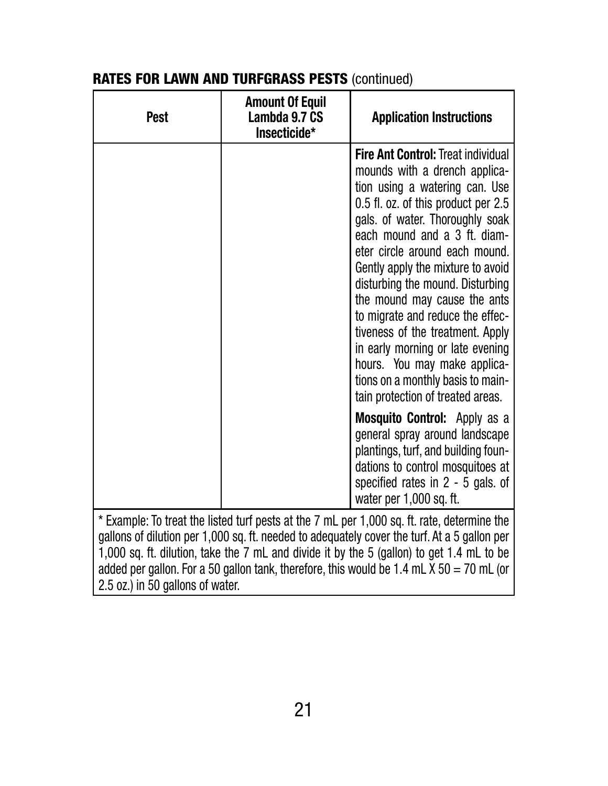| <b>Pest</b>                                                                                                                                                                                                                                                                                                                                                                                                                | <b>Amount Of Equil</b><br>Lambda 9.7 CS<br>Insecticide* | <b>Application Instructions</b>                                                                                                                                                                                                                                                                                                                                                                                                                                                                                                                                                         |  |  |
|----------------------------------------------------------------------------------------------------------------------------------------------------------------------------------------------------------------------------------------------------------------------------------------------------------------------------------------------------------------------------------------------------------------------------|---------------------------------------------------------|-----------------------------------------------------------------------------------------------------------------------------------------------------------------------------------------------------------------------------------------------------------------------------------------------------------------------------------------------------------------------------------------------------------------------------------------------------------------------------------------------------------------------------------------------------------------------------------------|--|--|
|                                                                                                                                                                                                                                                                                                                                                                                                                            |                                                         | <b>Fire Ant Control: Treat individual</b><br>mounds with a drench applica-<br>tion using a watering can. Use<br>0.5 fl. oz. of this product per 2.5<br>gals. of water. Thoroughly soak<br>each mound and a 3 ft. diam-<br>eter circle around each mound.<br>Gently apply the mixture to avoid<br>disturbing the mound. Disturbing<br>the mound may cause the ants<br>to migrate and reduce the effec-<br>tiveness of the treatment. Apply<br>in early morning or late evening<br>hours. You may make applica-<br>tions on a monthly basis to main-<br>tain protection of treated areas. |  |  |
|                                                                                                                                                                                                                                                                                                                                                                                                                            |                                                         | <b>Mosquito Control:</b> Apply as a<br>general spray around landscape<br>plantings, turf, and building foun-<br>dations to control mosquitoes at<br>specified rates in $2 - 5$ gals. of<br>water per 1,000 sq. ft.                                                                                                                                                                                                                                                                                                                                                                      |  |  |
| * Example: To treat the listed turf pests at the 7 mL per 1,000 sq. ft. rate, determine the<br>gallons of dilution per 1,000 sq. ft. needed to adequately cover the turf. At a 5 gallon per<br>1,000 sq. ft. dilution, take the 7 mL and divide it by the 5 (gallon) to get 1.4 mL to be<br>added per gallon. For a 50 gallon tank, therefore, this would be 1.4 mL $X$ 50 = 70 mL (or<br>2.5 oz.) in 50 gallons of water. |                                                         |                                                                                                                                                                                                                                                                                                                                                                                                                                                                                                                                                                                         |  |  |

## RATES FOR LAWN AND TURFGRASS PESTS (continued)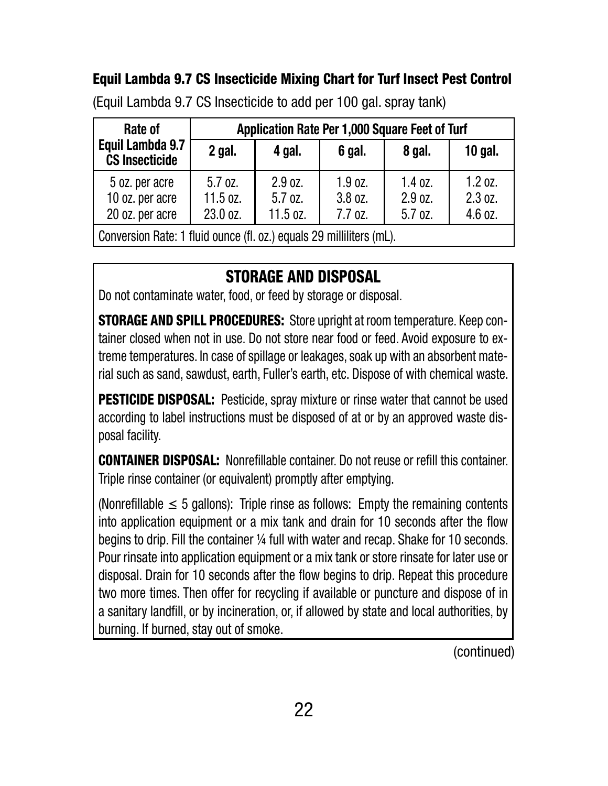## Equil Lambda 9.7 CS Insecticide Mixing Chart for Turf Insect Pest Control

| Rate of                                                              | Application Rate Per 1,000 Square Feet of Turf |                                    |                                 |                                 |                               |  |
|----------------------------------------------------------------------|------------------------------------------------|------------------------------------|---------------------------------|---------------------------------|-------------------------------|--|
| Equil Lambda 9.7<br><b>CS Insecticide</b>                            | $2$ gal.                                       | 4 gal.                             | 6 gal.                          | 8 gal.                          | 10 gal.                       |  |
| 5 oz. per acre<br>10 oz. per acre<br>20 oz. per acre                 | $5.7$ oz.<br>$11.5$ oz.<br>23.0 oz.            | 2.9 oz.<br>$5.7$ oz.<br>$11.5$ oz. | 1.9 oz.<br>3.8 oz.<br>$7.7$ oz. | $1.4$ oz.<br>2.9 oz.<br>5.7 oz. | 1.2 oz.<br>2.3 oz.<br>4.6 oz. |  |
| Conversion Rate: 1 fluid ounce (fl. oz.) equals 29 milliliters (mL). |                                                |                                    |                                 |                                 |                               |  |

(Equil Lambda 9.7 CS Insecticide to add per 100 gal. spray tank)

## STORAGE AND DISPOSAL

Do not contaminate water, food, or feed by storage or disposal.

STORAGE AND SPILL PROCEDURES: Store upright at room temperature. Keep container closed when not in use. Do not store near food or feed. Avoid exposure to extreme temperatures. In case of spillage or leakages, soak up with an absorbent material such as sand, sawdust, earth, Fuller's earth, etc. Dispose of with chemical waste.

**PESTICIDE DISPOSAL:** Pesticide, spray mixture or rinse water that cannot be used according to label instructions must be disposed of at or by an approved waste disposal facility.

CONTAINER DISPOSAL: Nonrefillable container. Do not reuse or refill this container. Triple rinse container (or equivalent) promptly after emptying.

(Nonrefillable  $\leq$  5 gallons): Triple rinse as follows: Empty the remaining contents into application equipment or a mix tank and drain for 10 seconds after the flow begins to drip. Fill the container ¼ full with water and recap. Shake for 10 seconds. Pour rinsate into application equipment or a mix tank or store rinsate for later use or disposal. Drain for 10 seconds after the flow begins to drip. Repeat this procedure two more times. Then offer for recycling if available or puncture and dispose of in a sanitary landfill, or by incineration, or, if allowed by state and local authorities, by burning. If burned, stay out of smoke.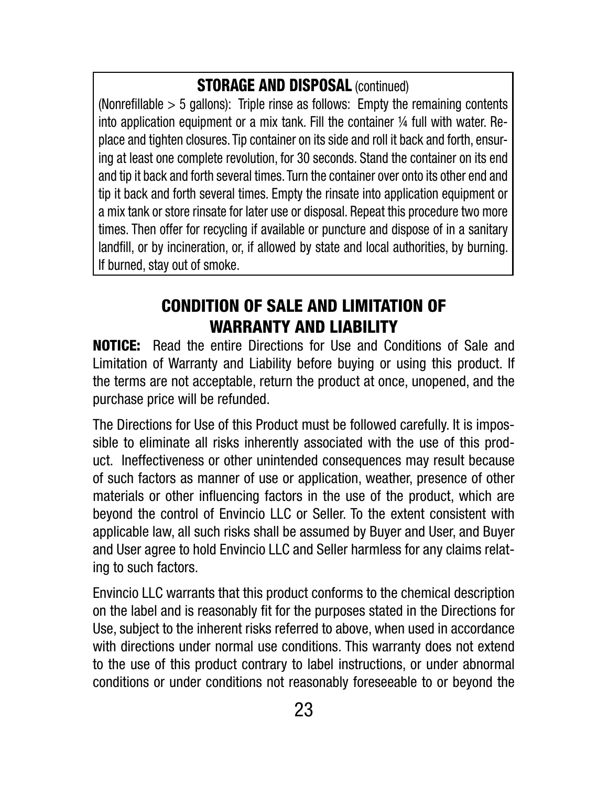## STORAGE AND DISPOSAL (continued)

(Nonrefillable > 5 gallons): Triple rinse as follows: Empty the remaining contents into application equipment or a mix tank. Fill the container ¼ full with water. Replace and tighten closures. Tip container on its side and roll it back and forth, ensuring at least one complete revolution, for 30 seconds. Stand the container on its end and tip it back and forth several times. Turn the container over onto its other end and tip it back and forth several times. Empty the rinsate into application equipment or a mix tank or store rinsate for later use or disposal. Repeat this procedure two more times. Then offer for recycling if available or puncture and dispose of in a sanitary landfill, or by incineration, or, if allowed by state and local authorities, by burning. If burned, stay out of smoke.

## CONDITION OF SALE AND LIMITATION OF WARRANTY AND LIABILITY

NOTICE: Read the entire Directions for Use and Conditions of Sale and Limitation of Warranty and Liability before buying or using this product. If the terms are not acceptable, return the product at once, unopened, and the purchase price will be refunded.

The Directions for Use of this Product must be followed carefully. It is impossible to eliminate all risks inherently associated with the use of this product. Ineffectiveness or other unintended consequences may result because of such factors as manner of use or application, weather, presence of other materials or other influencing factors in the use of the product, which are beyond the control of Envincio LLC or Seller. To the extent consistent with applicable law, all such risks shall be assumed by Buyer and User, and Buyer and User agree to hold Envincio LLC and Seller harmless for any claims relating to such factors.

Envincio LLC warrants that this product conforms to the chemical description on the label and is reasonably fit for the purposes stated in the Directions for Use, subject to the inherent risks referred to above, when used in accordance with directions under normal use conditions. This warranty does not extend to the use of this product contrary to label instructions, or under abnormal conditions or under conditions not reasonably foreseeable to or beyond the